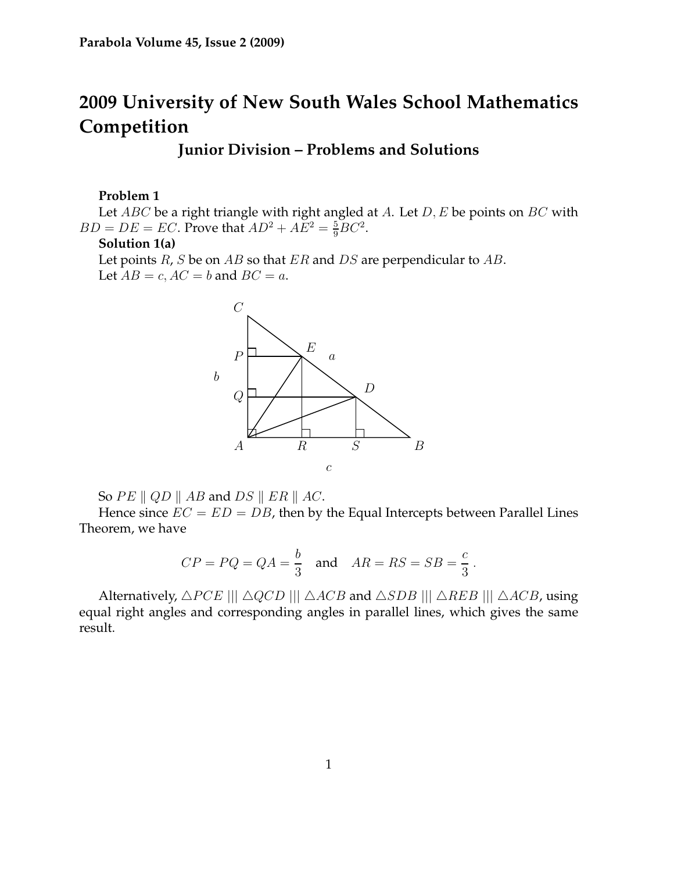# **2009 University of New South Wales School Mathematics Competition**

# **Junior Division – Problems and Solutions**

### **Problem 1**

Let  $ABC$  be a right triangle with right angled at A. Let  $D, E$  be points on  $BC$  with  $BD = DE = EC$ . Prove that  $AD^2 + AE^2 = \frac{5}{9}BC^2$ .

### **Solution 1(a)**

Let points  $R$ ,  $S$  be on  $AB$  so that  $ER$  and  $DS$  are perpendicular to  $AB$ . Let  $AB = c$ ,  $AC = b$  and  $BC = a$ .



So  $PE \parallel QD \parallel AB$  and  $DS \parallel ER \parallel AC$ .

Hence since  $EC = ED = DB$ , then by the Equal Intercepts between Parallel Lines Theorem, we have

$$
CP = PQ = QA = \frac{b}{3} \quad \text{and} \quad AR = RS = SB = \frac{c}{3} \, .
$$

Alternatively,  $\triangle PCE$  |||  $\triangle QCD$  |||  $\triangle ACB$  and  $\triangle SDB$  |||  $\triangle AEB$  |||  $\triangle ACB$ , using equal right angles and corresponding angles in parallel lines, which gives the same result.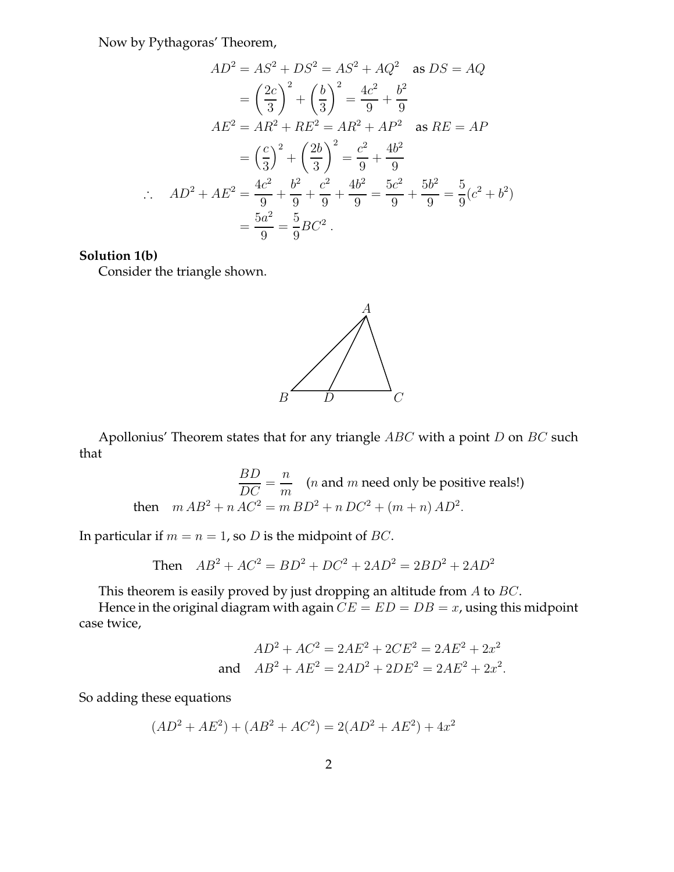Now by Pythagoras' Theorem,

$$
AD^2 = AS^2 + DS^2 = AS^2 + AQ^2 \text{ as } DS = AQ
$$
  
=  $\left(\frac{2c}{3}\right)^2 + \left(\frac{b}{3}\right)^2 = \frac{4c^2}{9} + \frac{b^2}{9}$   

$$
AE^2 = AR^2 + RE^2 = AR^2 + AP^2 \text{ as } RE = AP
$$
  
=  $\left(\frac{c}{3}\right)^2 + \left(\frac{2b}{3}\right)^2 = \frac{c^2}{9} + \frac{4b^2}{9}$   

$$
\therefore AD^2 + AE^2 = \frac{4c^2}{9} + \frac{b^2}{9} + \frac{c^2}{9} + \frac{4b^2}{9} = \frac{5c^2}{9} + \frac{5b^2}{9} = \frac{5}{9}(c^2 + b^2)
$$
  
=  $\frac{5a^2}{9} = \frac{5}{9}BC^2$ .

#### **Solution 1(b)**

Consider the triangle shown.



Apollonius' Theorem states that for any triangle  $ABC$  with a point  $D$  on  $BC$  such that

> BD  $\frac{DE}{DC}$ n  $\frac{n}{m}$  (*n* and *m* need only be positive reals!) then  $m AB^2 + n AC^2 = m BD^2 + n DC^2 + (m+n) AD^2$ .

In particular if  $m = n = 1$ , so *D* is the midpoint of *BC*.

Then 
$$
AB^2 + AC^2 = BD^2 + DC^2 + 2AD^2 = 2BD^2 + 2AD^2
$$

This theorem is easily proved by just dropping an altitude from A to BC.

Hence in the original diagram with again  $CE = ED = DB = x$ , using this midpoint case twice,

$$
AD2 + AC2 = 2AE2 + 2CE2 = 2AE2 + 2x2
$$
  
and 
$$
AB2 + AE2 = 2AD2 + 2DE2 = 2AE2 + 2x2.
$$

So adding these equations

$$
(AD2 + AE2) + (AB2 + AC2) = 2(AD2 + AE2) + 4x2
$$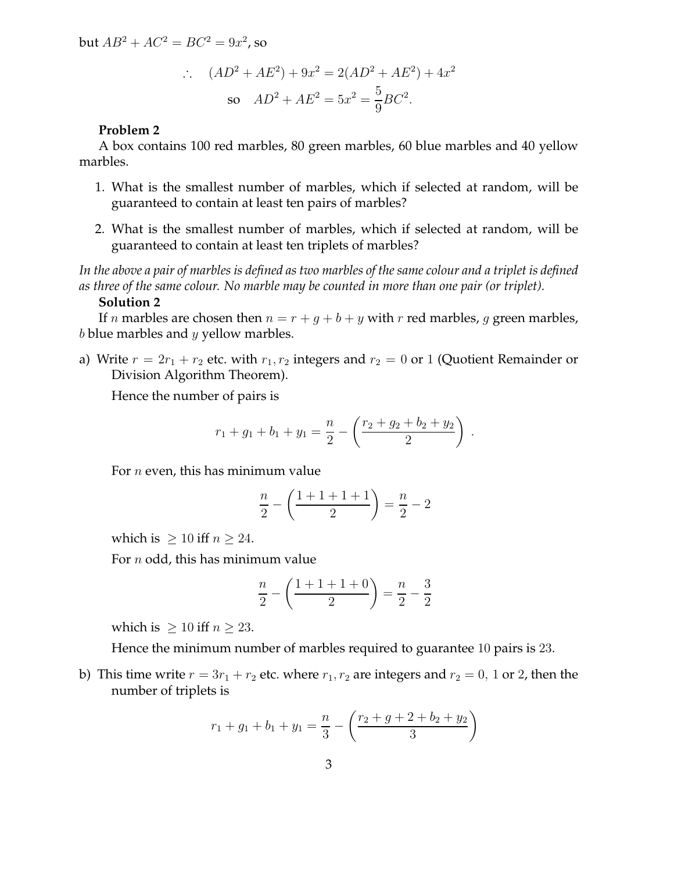but  $AB^2 + AC^2 = BC^2 = 9x^2$ , so

$$
\therefore (AD^2 + AE^2) + 9x^2 = 2(AD^2 + AE^2) + 4x^2
$$
  
so  $AD^2 + AE^2 = 5x^2 = \frac{5}{9}BC^2$ .

### **Problem 2**

A box contains 100 red marbles, 80 green marbles, 60 blue marbles and 40 yellow marbles.

- 1. What is the smallest number of marbles, which if selected at random, will be guaranteed to contain at least ten pairs of marbles?
- 2. What is the smallest number of marbles, which if selected at random, will be guaranteed to contain at least ten triplets of marbles?

*In the above a pair of marbles is defined as two marbles of the same colour and a triplet is defined as three of the same colour. No marble may be counted in more than one pair (or triplet).*

## **Solution 2**

If *n* marbles are chosen then  $n = r + q + b + y$  with *r* red marbles, *q* green marbles,  $b$  blue marbles and  $y$  yellow marbles.

a) Write  $r = 2r_1 + r_2$  etc. with  $r_1, r_2$  integers and  $r_2 = 0$  or 1 (Quotient Remainder or Division Algorithm Theorem).

Hence the number of pairs is

$$
r_1 + g_1 + b_1 + y_1 = \frac{n}{2} - \left(\frac{r_2 + g_2 + b_2 + y_2}{2}\right)
$$

.

For  $n$  even, this has minimum value

$$
\frac{n}{2} - \left(\frac{1+1+1+1}{2}\right) = \frac{n}{2} - 2
$$

which is  $\geq 10$  iff  $n \geq 24$ .

For  $n$  odd, this has minimum value

$$
\frac{n}{2} - \left(\frac{1+1+1+0}{2}\right) = \frac{n}{2} - \frac{3}{2}
$$

which is  $\geq 10$  iff  $n \geq 23$ .

Hence the minimum number of marbles required to guarantee 10 pairs is 23.

b) This time write  $r = 3r_1 + r_2$  etc. where  $r_1, r_2$  are integers and  $r_2 = 0$ , 1 or 2, then the number of triplets is

$$
r_1 + g_1 + b_1 + y_1 = \frac{n}{3} - \left(\frac{r_2 + g + 2 + b_2 + y_2}{3}\right)
$$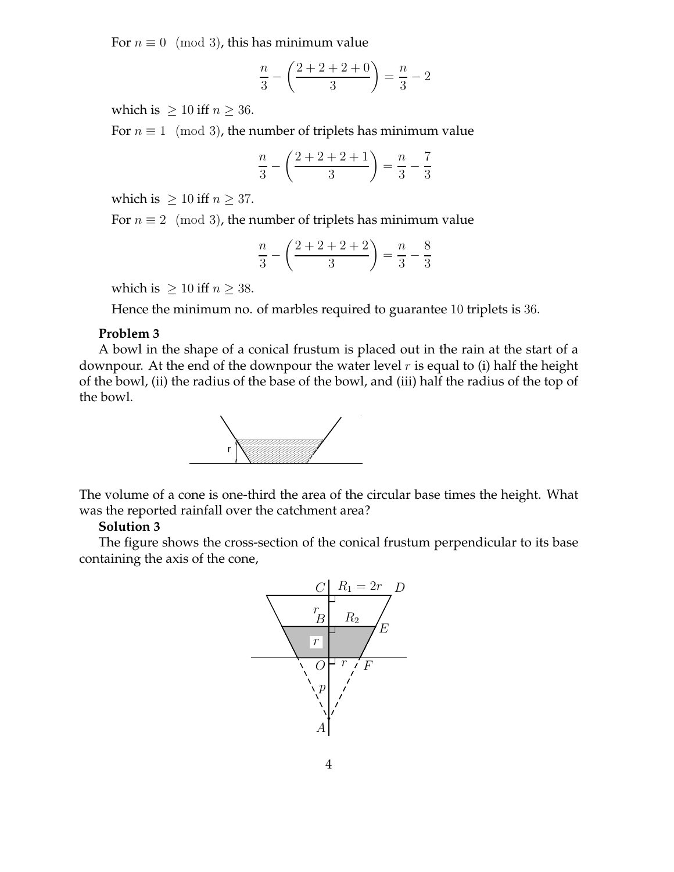For  $n \equiv 0 \pmod{3}$ , this has minimum value

$$
\frac{n}{3} - \left(\frac{2+2+2+0}{3}\right) = \frac{n}{3} - 2
$$

which is  $> 10$  iff  $n > 36$ .

For  $n \equiv 1 \pmod{3}$ , the number of triplets has minimum value

$$
\frac{n}{3} - \left(\frac{2+2+2+1}{3}\right) = \frac{n}{3} - \frac{7}{3}
$$

which is  $\geq 10$  iff  $n \geq 37$ .

For  $n \equiv 2 \pmod{3}$ , the number of triplets has minimum value

$$
\frac{n}{3} - \left(\frac{2+2+2+2}{3}\right) = \frac{n}{3} - \frac{8}{3}
$$

which is  $\geq 10$  iff  $n \geq 38$ .

Hence the minimum no. of marbles required to guarantee 10 triplets is 36.

### **Problem 3**

A bowl in the shape of a conical frustum is placed out in the rain at the start of a downpour. At the end of the downpour the water level  $r$  is equal to (i) half the height of the bowl, (ii) the radius of the base of the bowl, and (iii) half the radius of the top of the bowl.



The volume of a cone is one-third the area of the circular base times the height. What was the reported rainfall over the catchment area?

### **Solution 3**

The figure shows the cross-section of the conical frustum perpendicular to its base containing the axis of the cone,

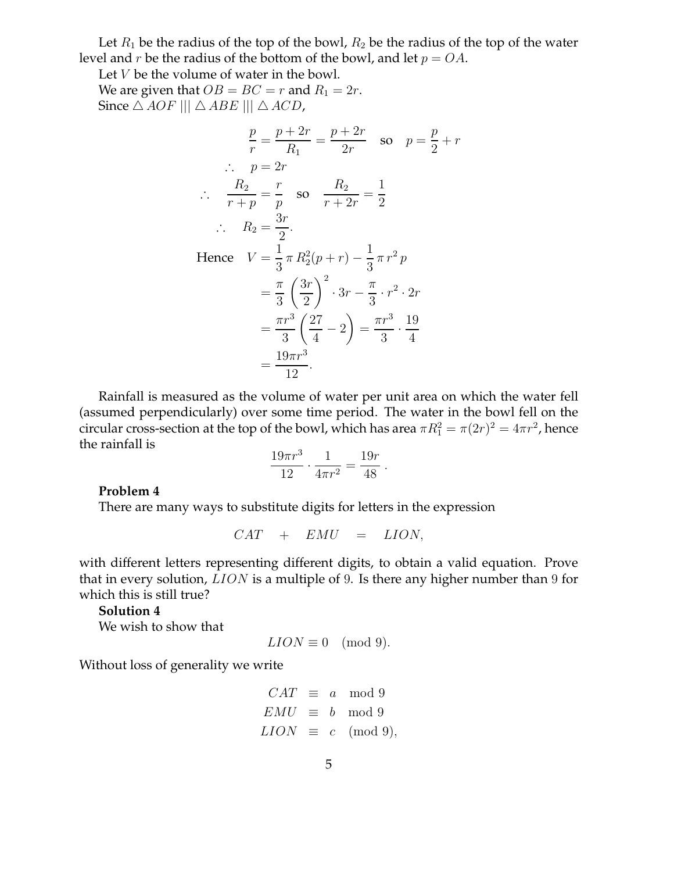Let  $R_1$  be the radius of the top of the bowl,  $R_2$  be the radius of the top of the water level and  $r$  be the radius of the bottom of the bowl, and let  $p = OA$ .

Let V be the volume of water in the bowl. We are given that  $OB = BC = r$  and  $R_1 = 2r$ . Since  $\triangle AOF \parallel \triangle ABE \parallel \triangle ACD$ ,

$$
\frac{p}{r} = \frac{p+2r}{R_1} = \frac{p+2r}{2r} \text{ so } p = \frac{p}{2} + r
$$
  
\n
$$
\therefore p = 2r
$$
  
\n
$$
\therefore \frac{R_2}{r+p} = \frac{r}{p} \text{ so } \frac{R_2}{r+2r} = \frac{1}{2}
$$
  
\n
$$
\therefore R_2 = \frac{3r}{2}.
$$
  
\nHence  $V = \frac{1}{3} \pi R_2^2 (p+r) - \frac{1}{3} \pi r^2 p$   
\n
$$
= \frac{\pi}{3} \left(\frac{3r}{2}\right)^2 \cdot 3r - \frac{\pi}{3} \cdot r^2 \cdot 2r
$$
  
\n
$$
= \frac{\pi r^3}{3} \left(\frac{27}{4} - 2\right) = \frac{\pi r^3}{3} \cdot \frac{19}{4}
$$
  
\n
$$
= \frac{19\pi r^3}{12}.
$$

Rainfall is measured as the volume of water per unit area on which the water fell (assumed perpendicularly) over some time period. The water in the bowl fell on the circular cross-section at the top of the bowl, which has area  $\pi R_1^2 = \pi (2r)^2 = 4 \pi r^2$ , hence the rainfall is

$$
\frac{19\pi r^3}{12} \cdot \frac{1}{4\pi r^2} = \frac{19r}{48} .
$$

### **Problem 4**

There are many ways to substitute digits for letters in the expression

$$
CAT + EMU = LION,
$$

with different letters representing different digits, to obtain a valid equation. Prove that in every solution, *LION* is a multiple of 9. Is there any higher number than 9 for which this is still true?

#### **Solution 4**

We wish to show that

$$
LION \equiv 0 \pmod{9}.
$$

Without loss of generality we write

$$
CAT \equiv a \mod 9
$$
  
\n
$$
EMU \equiv b \mod 9
$$
  
\n
$$
LION \equiv c \pmod{9},
$$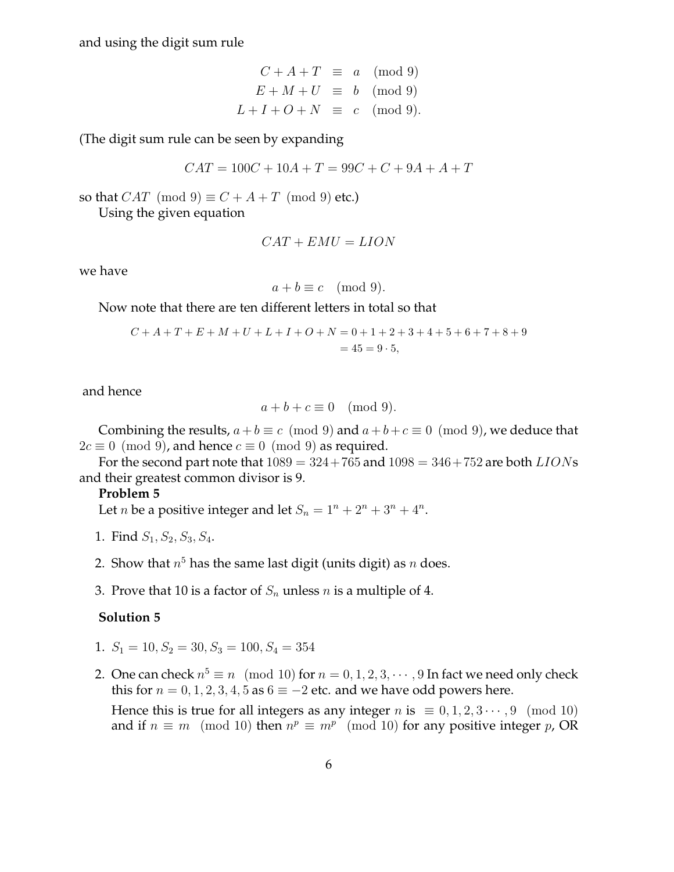and using the digit sum rule

$$
C + A + T \equiv a \pmod{9}
$$
  
\n
$$
E + M + U \equiv b \pmod{9}
$$
  
\n
$$
L + I + O + N \equiv c \pmod{9}.
$$

(The digit sum rule can be seen by expanding

$$
CAT = 100C + 10A + T = 99C + C + 9A + A + T
$$

so that  $CAT \pmod{9} \equiv C + A + T \pmod{9}$  etc.)

Using the given equation

$$
CAT + EMU = LION
$$

we have

$$
a + b \equiv c \pmod{9}.
$$

Now note that there are ten different letters in total so that

$$
C + A + T + E + M + U + L + I + O + N = 0 + 1 + 2 + 3 + 4 + 5 + 6 + 7 + 8 + 9
$$
  
= 45 = 9 · 5,

and hence

$$
a+b+c \equiv 0 \pmod{9}.
$$

Combining the results,  $a+b \equiv c \pmod{9}$  and  $a+b+c \equiv 0 \pmod{9}$ , we deduce that  $2c \equiv 0 \pmod{9}$ , and hence  $c \equiv 0 \pmod{9}$  as required.

For the second part note that  $1089 = 324 + 765$  and  $1098 = 346 + 752$  are both  $LIONS$ and their greatest common divisor is 9.

#### **Problem 5**

Let *n* be a positive integer and let  $S_n = 1^n + 2^n + 3^n + 4^n$ .

- 1. Find  $S_1, S_2, S_3, S_4$ .
- 2. Show that  $n^5$  has the same last digit (units digit) as  $n$  does.
- 3. Prove that 10 is a factor of  $S_n$  unless n is a multiple of 4.

# **Solution 5**

- 1.  $S_1 = 10, S_2 = 30, S_3 = 100, S_4 = 354$
- 2. One can check  $n^5 \equiv n \pmod{10}$  for  $n = 0, 1, 2, 3, \cdots, 9$  In fact we need only check this for  $n = 0, 1, 2, 3, 4, 5$  as  $6 \equiv -2$  etc. and we have odd powers here.

Hence this is true for all integers as any integer *n* is  $\equiv 0, 1, 2, 3 \cdots, 9 \pmod{10}$ and if  $n \equiv m \pmod{10}$  then  $n^p \equiv m^p \pmod{10}$  for any positive integer p, OR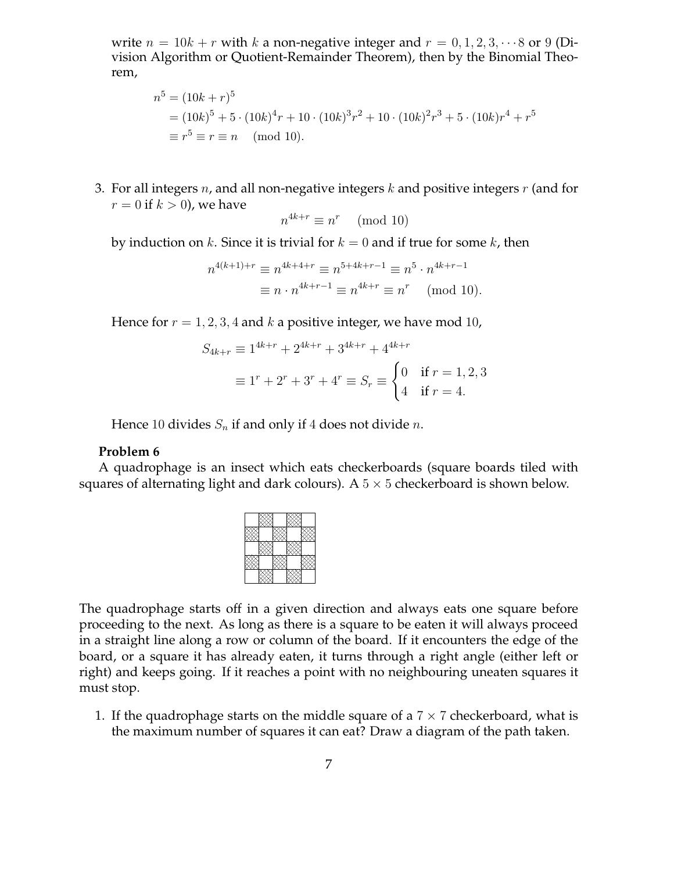write  $n = 10k + r$  with k a non-negative integer and  $r = 0, 1, 2, 3, \cdots 8$  or 9 (Division Algorithm or Quotient-Remainder Theorem), then by the Binomial Theorem,

$$
n5 = (10k + r)5
$$
  
=  $(10k)5 + 5 \cdot (10k)4 r + 10 \cdot (10k)3 r2 + 10 \cdot (10k)2 r3 + 5 \cdot (10k)r4 + r5$   
 $\equiv r5 \equiv r \equiv n \pmod{10}.$ 

3. For all integers  $n$ , and all non-negative integers  $k$  and positive integers  $r$  (and for  $r = 0$  if  $k > 0$ ), we have

$$
n^{4k+r} \equiv n^r \pmod{10}
$$

by induction on k. Since it is trivial for  $k = 0$  and if true for some k, then

$$
n^{4(k+1)+r} \equiv n^{4k+4+r} \equiv n^{5+4k+r-1} \equiv n^5 \cdot n^{4k+r-1}
$$

$$
\equiv n \cdot n^{4k+r-1} \equiv n^{4k+r} \equiv n^r \pmod{10}.
$$

Hence for  $r = 1, 2, 3, 4$  and k a positive integer, we have mod 10,

$$
S_{4k+r} \equiv 1^{4k+r} + 2^{4k+r} + 3^{4k+r} + 4^{4k+r}
$$
  

$$
\equiv 1^r + 2^r + 3^r + 4^r \equiv S_r \equiv \begin{cases} 0 & \text{if } r = 1, 2, 3 \\ 4 & \text{if } r = 4. \end{cases}
$$

Hence 10 divides  $S_n$  if and only if 4 does not divide *n*.

### **Problem 6**

A quadrophage is an insect which eats checkerboards (square boards tiled with squares of alternating light and dark colours). A  $5 \times 5$  checkerboard is shown below.

The quadrophage starts off in a given direction and always eats one square before proceeding to the next. As long as there is a square to be eaten it will always proceed in a straight line along a row or column of the board. If it encounters the edge of the board, or a square it has already eaten, it turns through a right angle (either left or right) and keeps going. If it reaches a point with no neighbouring uneaten squares it must stop.

1. If the quadrophage starts on the middle square of a  $7 \times 7$  checkerboard, what is the maximum number of squares it can eat? Draw a diagram of the path taken.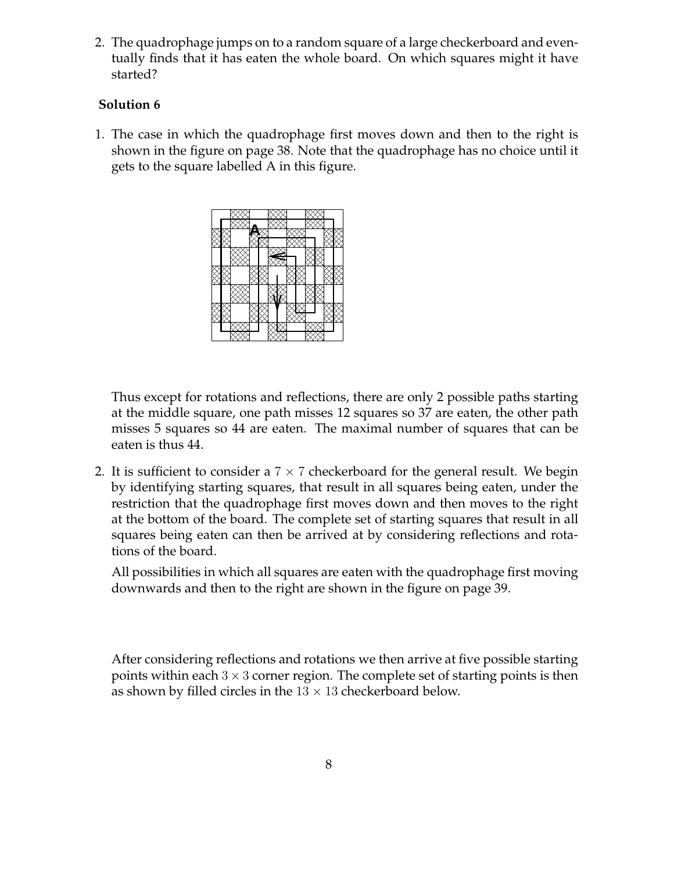2. The quadrophage jumps on to a random square of a large checkerboard and eventually finds that it has eaten the whole board. On which squares might it have started?

# **Solution 6**

1. The case in which the quadrophage first moves down and then to the right is shown in the figure on page 38. Note that the quadrophage has no choice until it gets to the square labelled A in this figure.



Thus except for rotations and reflections, there are only 2 possible paths starting at the middle square, one path misses 12 squares so 37 are eaten, the other path misses 5 squares so 44 are eaten. The maximal number of squares that can be eaten is thus 44.

2. It is sufficient to consider a  $7 \times 7$  checkerboard for the general result. We begin by identifying starting squares, that result in all squares being eaten, under the restriction that the quadrophage first moves down and then moves to the right at the bottom of the board. The complete set of starting squares that result in all squares being eaten can then be arrived at by considering reflections and rotations of the board.

All possibilities in which all squares are eaten with the quadrophage first moving downwards and then to the right are shown in the figure on page 39.

After considering reflections and rotations we then arrive at five possible starting points within each  $3 \times 3$  corner region. The complete set of starting points is then as shown by filled circles in the  $13 \times 13$  checkerboard below.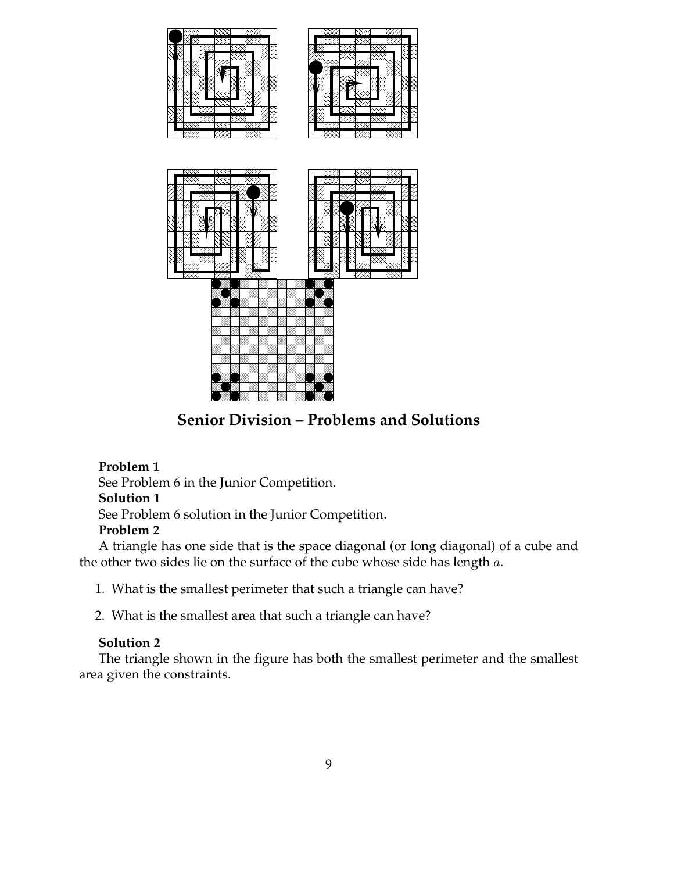

**Senior Division – Problems and Solutions**

# **Problem 1**

See Problem 6 in the Junior Competition.

# **Solution 1**

See Problem 6 solution in the Junior Competition.

# **Problem 2**

A triangle has one side that is the space diagonal (or long diagonal) of a cube and the other two sides lie on the surface of the cube whose side has length a.

1. What is the smallest perimeter that such a triangle can have?

2. What is the smallest area that such a triangle can have?

# **Solution 2**

The triangle shown in the figure has both the smallest perimeter and the smallest area given the constraints.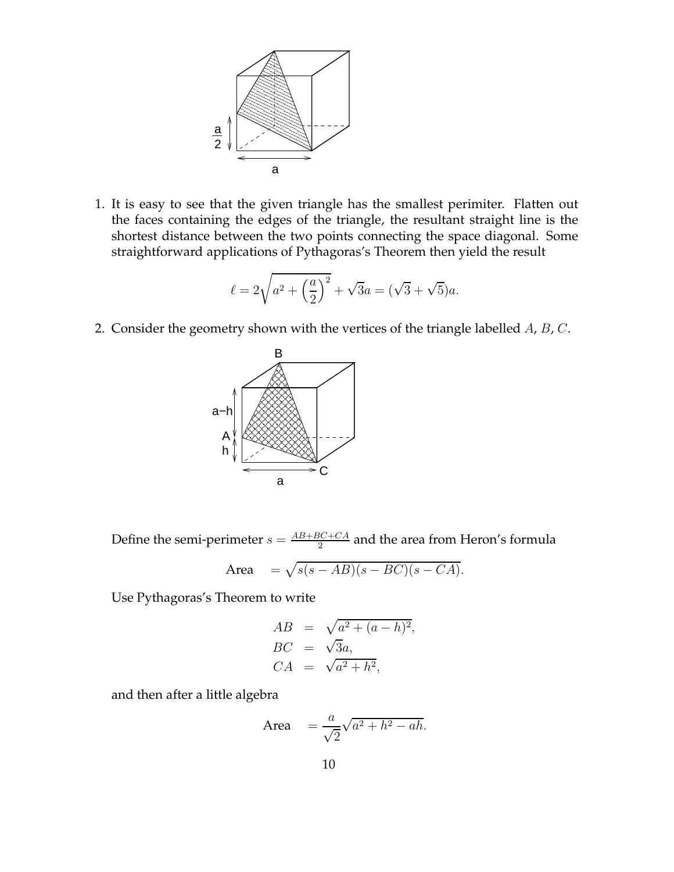

1. It is easy to see that the given triangle has the smallest perimiter. Flatten out the faces containing the edges of the triangle, the resultant straight line is the shortest distance between the two points connecting the space diagonal. Some straightforward applications of Pythagoras's Theorem then yield the result

$$
\ell = 2\sqrt{a^2 + \left(\frac{a}{2}\right)^2} + \sqrt{3}a = (\sqrt{3} + \sqrt{5})a.
$$

2. Consider the geometry shown with the vertices of the triangle labelled  $A$ ,  $B$ ,  $C$ .



Define the semi-perimeter  $s = \frac{AB + BC + CA}{2}$  $\frac{3C+CA}{2}$  and the area from Heron's formula

$$
Area = \sqrt{s(s - AB)(s - BC)(s - CA)}.
$$

Use Pythagoras's Theorem to write

$$
AB = \sqrt{a^2 + (a - h)^2},
$$
  
\n
$$
BC = \sqrt{3}a,
$$
  
\n
$$
CA = \sqrt{a^2 + h^2},
$$

and then after a little algebra

$$
\text{Area} = \frac{a}{\sqrt{2}}\sqrt{a^2 + h^2 - ah}.
$$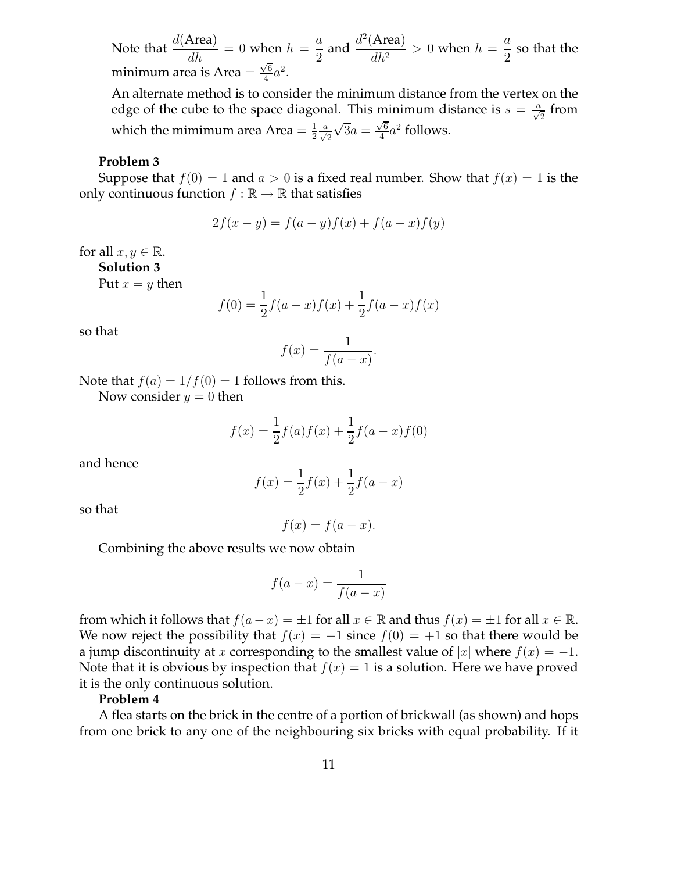Note that  $\frac{d(A \text{rea})}{dh} = 0$  when  $h =$ a  $\frac{a}{2}$  and  $\frac{d^2(\text{Area})}{dh^2}$  $\frac{1 \text{ rad}}{dh^2} > 0$  when  $h =$ a  $\frac{a}{2}$  so that the minimum area is Area =  $\frac{\sqrt{6}}{4}$  $rac{76}{4}a^2$ .

An alternate method is to consider the minimum distance from the vertex on the edge of the cube to the space diagonal. This minimum distance is  $s = \frac{a}{\sqrt{2}}$  from which the mimimum area Area  $=$   $\frac{1}{2}$  $rac{1}{2} \frac{a}{\sqrt{2}}$  $\sqrt{3}a = \frac{\sqrt{6}}{4}$  $rac{\sqrt{6}}{4}a^2$  follows.

#### **Problem 3**

Suppose that  $f(0) = 1$  and  $a > 0$  is a fixed real number. Show that  $f(x) = 1$  is the only continuous function  $f : \mathbb{R} \to \mathbb{R}$  that satisfies

$$
2f(x - y) = f(a - y)f(x) + f(a - x)f(y)
$$

for all  $x, y \in \mathbb{R}$ .

**Solution 3**

Put  $x = y$  then

$$
f(0) = \frac{1}{2}f(a-x)f(x) + \frac{1}{2}f(a-x)f(x)
$$

so that

$$
f(x) = \frac{1}{f(a-x)}.
$$

Note that  $f(a) = 1/f(0) = 1$  follows from this.

Now consider  $y = 0$  then

$$
f(x) = \frac{1}{2}f(a)f(x) + \frac{1}{2}f(a-x)f(0)
$$

and hence

$$
f(x) = \frac{1}{2}f(x) + \frac{1}{2}f(a - x)
$$

so that

$$
f(x) = f(a - x).
$$

Combining the above results we now obtain

$$
f(a-x) = \frac{1}{f(a-x)}
$$

from which it follows that  $f(a-x) = \pm 1$  for all  $x \in \mathbb{R}$  and thus  $f(x) = \pm 1$  for all  $x \in \mathbb{R}$ . We now reject the possibility that  $f(x) = -1$  since  $f(0) = +1$  so that there would be a jump discontinuity at x corresponding to the smallest value of |x| where  $f(x) = -1$ . Note that it is obvious by inspection that  $f(x) = 1$  is a solution. Here we have proved it is the only continuous solution.

### **Problem 4**

A flea starts on the brick in the centre of a portion of brickwall (as shown) and hops from one brick to any one of the neighbouring six bricks with equal probability. If it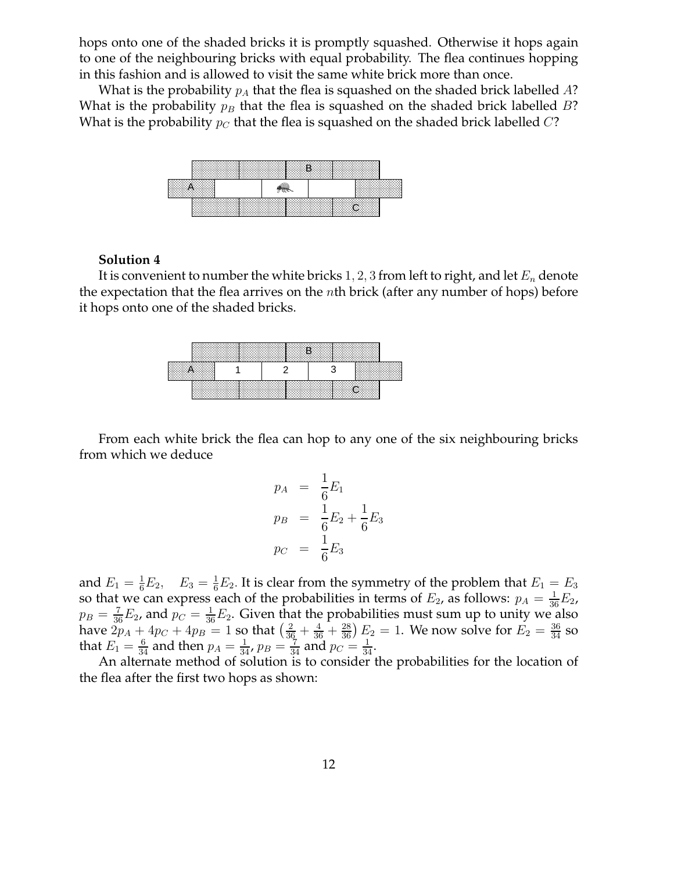hops onto one of the shaded bricks it is promptly squashed. Otherwise it hops again to one of the neighbouring bricks with equal probability. The flea continues hopping in this fashion and is allowed to visit the same white brick more than once.

What is the probability  $p_A$  that the flea is squashed on the shaded brick labelled A? What is the probability  $p_B$  that the flea is squashed on the shaded brick labelled B? What is the probability  $p_C$  that the flea is squashed on the shaded brick labelled C?



#### **Solution 4**

It is convenient to number the white bricks 1, 2, 3 from left to right, and let  $E_n$  denote the expectation that the flea arrives on the nth brick (after any number of hops) before it hops onto one of the shaded bricks.

|      | ▒₽ | ∢ਲਾ      |       |
|------|----|----------|-------|
| . AN |    |          |       |
|      |    | XXXXXXXX | いへんかい |

From each white brick the flea can hop to any one of the six neighbouring bricks from which we deduce

$$
p_A = \frac{1}{6}E_1
$$
  
\n
$$
p_B = \frac{1}{6}E_2 + \frac{1}{6}E_3
$$
  
\n
$$
p_C = \frac{1}{6}E_3
$$

and  $E_1 = \frac{1}{6}E_2$ ,  $E_3 = \frac{1}{6}E_2$ . It is clear from the symmetry of the problem that  $E_1 = E_3$ so that we can express each of the probabilities in terms of  $E_2$ , as follows:  $p_A = \frac{1}{36}E_2$ ,  $p_B = \frac{7}{36}E_2$ , and  $p_C = \frac{1}{36}E_2$ . Given that the probabilities must sum up to unity we also have  $2p_A + 4p_C + 4p_B = 1$  so that  $\left(\frac{2}{36} + \frac{4}{36} + \frac{28}{36}\right)E_2 = 1$ . We now solve for  $E_2 = \frac{36}{34}$  so that  $E_1 = \frac{6}{34}$  and then  $p_A = \frac{1}{34}$ ,  $p_B = \frac{7}{34}$  and  $p_C = \frac{1}{34}$ .

An alternate method of solution is to consider the probabilities for the location of the flea after the first two hops as shown: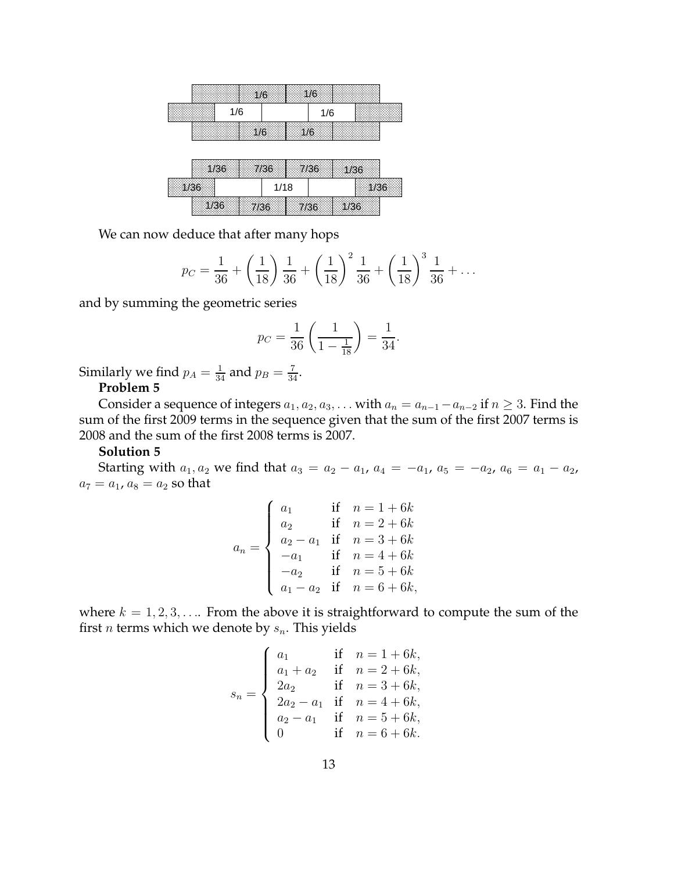| W6. | ₩   |  |
|-----|-----|--|
| 1/6 | 1/6 |  |
| ℠⅌  | WS  |  |
|     |     |  |

| 1/36 | 7/36 | 7/36 | 1/36 |  |
|------|------|------|------|--|

We can now deduce that after many hops

$$
p_C = \frac{1}{36} + \left(\frac{1}{18}\right)\frac{1}{36} + \left(\frac{1}{18}\right)^2\frac{1}{36} + \left(\frac{1}{18}\right)^3\frac{1}{36} + \dots
$$

and by summing the geometric series

$$
p_C = \frac{1}{36} \left( \frac{1}{1 - \frac{1}{18}} \right) = \frac{1}{34}.
$$

Similarly we find  $p_A = \frac{1}{34}$  and  $p_B = \frac{7}{34}$ .

# **Problem 5**

Consider a sequence of integers  $a_1, a_2, a_3, \ldots$  with  $a_n = a_{n-1} - a_{n-2}$  if  $n \geq 3$ . Find the sum of the first 2009 terms in the sequence given that the sum of the first 2007 terms is 2008 and the sum of the first 2008 terms is 2007.

### **Solution 5**

Starting with  $a_1, a_2$  we find that  $a_3 = a_2 - a_1$ ,  $a_4 = -a_1$ ,  $a_5 = -a_2$ ,  $a_6 = a_1 - a_2$ ,  $a_7 = a_1$ ,  $a_8 = a_2$  so that

$$
a_n = \begin{cases} a_1 & \text{if } n = 1 + 6k \\ a_2 & \text{if } n = 2 + 6k \\ a_2 - a_1 & \text{if } n = 3 + 6k \\ -a_1 & \text{if } n = 4 + 6k \\ -a_2 & \text{if } n = 5 + 6k \\ a_1 - a_2 & \text{if } n = 6 + 6k, \end{cases}
$$

where  $k = 1, 2, 3, \ldots$  From the above it is straightforward to compute the sum of the first *n* terms which we denote by  $s_n$ . This yields

$$
s_n = \begin{cases} a_1 & \text{if } n = 1 + 6k, \\ a_1 + a_2 & \text{if } n = 2 + 6k, \\ 2a_2 & \text{if } n = 3 + 6k, \\ 2a_2 - a_1 & \text{if } n = 4 + 6k, \\ a_2 - a_1 & \text{if } n = 5 + 6k, \\ 0 & \text{if } n = 6 + 6k. \end{cases}
$$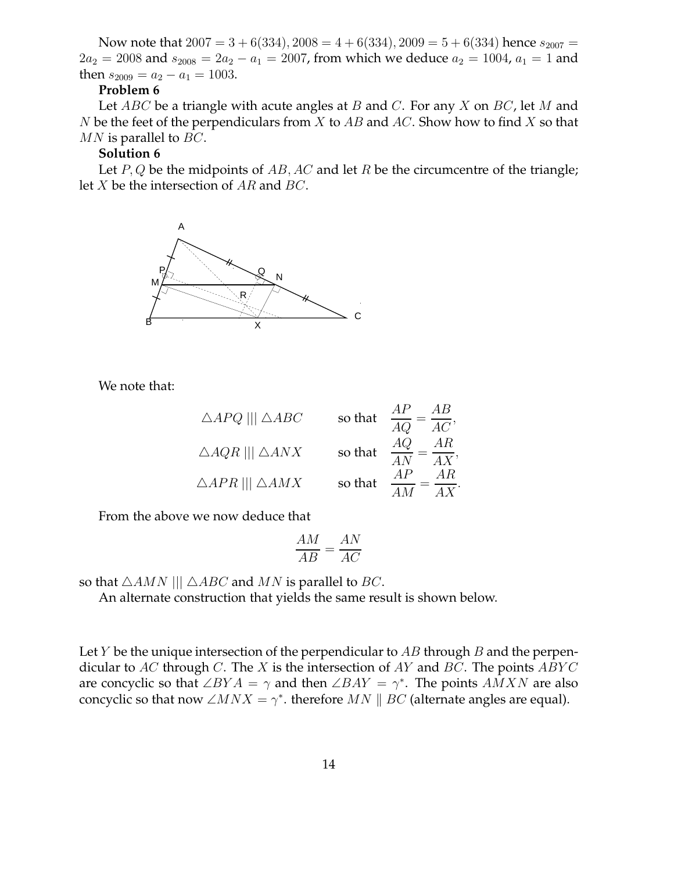Now note that  $2007 = 3 + 6(334), 2008 = 4 + 6(334), 2009 = 5 + 6(334)$  hence  $s_{2007} =$  $2a_2 = 2008$  and  $s_{2008} = 2a_2 - a_1 = 2007$ , from which we deduce  $a_2 = 1004$ ,  $a_1 = 1$  and then  $s_{2009} = a_2 - a_1 = 1003$ .

### **Problem 6**

Let  $ABC$  be a triangle with acute angles at B and C. For any X on BC, let M and N be the feet of the perpendiculars from X to  $AB$  and  $AC$ . Show how to find X so that  $MN$  is parallel to  $BC$ .

### **Solution 6**

Let  $P, Q$  be the midpoints of  $AB, AC$  and let R be the circumcentre of the triangle; let X be the intersection of AR and BC.



We note that:

| $\triangle APQ$    $\triangle ABC$  | so that | ΑB<br>$=$ $\overline{AC}$<br>$\overline{AO}$    |
|-------------------------------------|---------|-------------------------------------------------|
| $\triangle AQR$    $\triangle ANX$  | so that | AR<br>AQ<br>$=\frac{1}{4X},$<br>$\overline{AN}$ |
| $\triangle APR$     $\triangle AMX$ | so that | АR<br>AP                                        |

From the above we now deduce that

$$
\frac{AM}{AB} = \frac{AN}{AC}
$$

so that  $\triangle AMN$  |||  $\triangle ABC$  and MN is parallel to BC.

An alternate construction that yields the same result is shown below.

Let  $Y$  be the unique intersection of the perpendicular to  $AB$  through  $B$  and the perpendicular to  $AC$  through C. The X is the intersection of AY and BC. The points  $ABYC$ are concyclic so that  $\angle BYA = \gamma$  and then  $\angle BAY = \gamma^*$ . The points  $AMXN$  are also concyclic so that now  $\angle MNX = \gamma^*$ . therefore  $MN \parallel BC$  (alternate angles are equal).